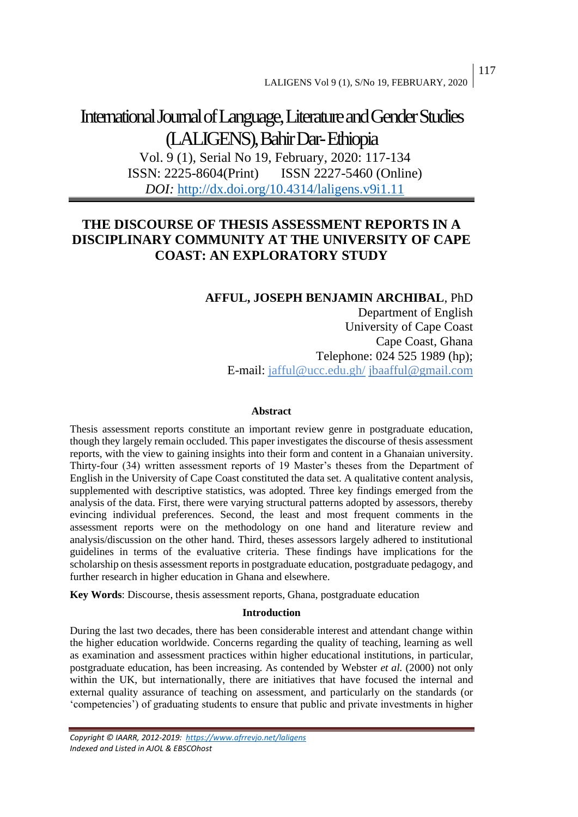# International Journal of Language, Literature and Gender Studies (LALIGENS), Bahir Dar-Ethiopia

Vol. 9 (1), Serial No 19, February, 2020: 117-134 ISSN: 2225-8604(Print) ISSN 2227-5460 (Online) *DOI:* <http://dx.doi.org/10.4314/laligens.v9i1.11>

# **THE DISCOURSE OF THESIS ASSESSMENT REPORTS IN A DISCIPLINARY COMMUNITY AT THE UNIVERSITY OF CAPE COAST: AN EXPLORATORY STUDY**

# **AFFUL, JOSEPH BENJAMIN ARCHIBAL**, PhD

Department of English University of Cape Coast Cape Coast, Ghana Telephone: 024 525 1989 (hp); E-mail: [jafful@ucc.edu.gh/](mailto:jafful@ucc.edu.gh/) [jbaafful@gmail.com](mailto:jbaafful@gmail.com)

#### **Abstract**

Thesis assessment reports constitute an important review genre in postgraduate education, though they largely remain occluded. This paper investigates the discourse of thesis assessment reports, with the view to gaining insights into their form and content in a Ghanaian university. Thirty-four (34) written assessment reports of 19 Master's theses from the Department of English in the University of Cape Coast constituted the data set. A qualitative content analysis, supplemented with descriptive statistics, was adopted. Three key findings emerged from the analysis of the data. First, there were varying structural patterns adopted by assessors, thereby evincing individual preferences. Second, the least and most frequent comments in the assessment reports were on the methodology on one hand and literature review and analysis/discussion on the other hand. Third, theses assessors largely adhered to institutional guidelines in terms of the evaluative criteria. These findings have implications for the scholarship on thesis assessment reports in postgraduate education, postgraduate pedagogy, and further research in higher education in Ghana and elsewhere.

**Key Words**: Discourse, thesis assessment reports, Ghana, postgraduate education

## **Introduction**

During the last two decades, there has been considerable interest and attendant change within the higher education worldwide. Concerns regarding the quality of teaching, learning as well as examination and assessment practices within higher educational institutions, in particular, postgraduate education, has been increasing. As contended by Webster *et al.* (2000) not only within the UK, but internationally, there are initiatives that have focused the internal and external quality assurance of teaching on assessment, and particularly on the standards (or 'competencies') of graduating students to ensure that public and private investments in higher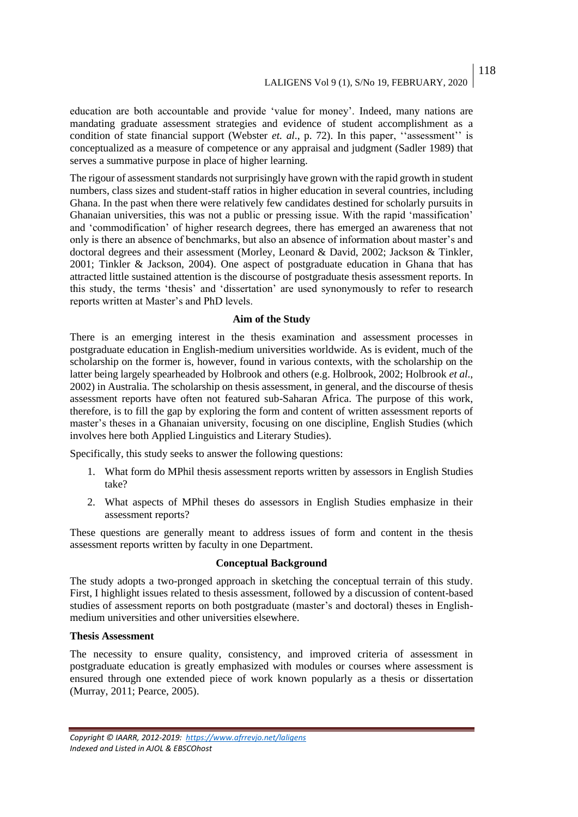education are both accountable and provide 'value for money'. Indeed, many nations are mandating graduate assessment strategies and evidence of student accomplishment as a condition of state financial support (Webster *et. al*., p. 72). In this paper, ''assessment'' is conceptualized as a measure of competence or any appraisal and judgment (Sadler 1989) that serves a summative purpose in place of higher learning.

The rigour of assessment standards not surprisingly have grown with the rapid growth in student numbers, class sizes and student-staff ratios in higher education in several countries, including Ghana. In the past when there were relatively few candidates destined for scholarly pursuits in Ghanaian universities, this was not a public or pressing issue. With the rapid 'massification' and 'commodification' of higher research degrees, there has emerged an awareness that not only is there an absence of benchmarks, but also an absence of information about master's and doctoral degrees and their assessment (Morley, Leonard & David, 2002; Jackson & Tinkler, 2001; Tinkler & Jackson, 2004). One aspect of postgraduate education in Ghana that has attracted little sustained attention is the discourse of postgraduate thesis assessment reports. In this study, the terms 'thesis' and 'dissertation' are used synonymously to refer to research reports written at Master's and PhD levels.

#### **Aim of the Study**

There is an emerging interest in the thesis examination and assessment processes in postgraduate education in English-medium universities worldwide. As is evident, much of the scholarship on the former is, however, found in various contexts, with the scholarship on the latter being largely spearheaded by Holbrook and others (e.g. Holbrook, 2002; Holbrook *et al.*, 2002) in Australia. The scholarship on thesis assessment, in general, and the discourse of thesis assessment reports have often not featured sub-Saharan Africa. The purpose of this work, therefore, is to fill the gap by exploring the form and content of written assessment reports of master's theses in a Ghanaian university, focusing on one discipline, English Studies (which involves here both Applied Linguistics and Literary Studies).

Specifically, this study seeks to answer the following questions:

- 1. What form do MPhil thesis assessment reports written by assessors in English Studies take?
- 2. What aspects of MPhil theses do assessors in English Studies emphasize in their assessment reports?

These questions are generally meant to address issues of form and content in the thesis assessment reports written by faculty in one Department.

#### **Conceptual Background**

The study adopts a two-pronged approach in sketching the conceptual terrain of this study. First, I highlight issues related to thesis assessment, followed by a discussion of content-based studies of assessment reports on both postgraduate (master's and doctoral) theses in Englishmedium universities and other universities elsewhere.

#### **Thesis Assessment**

The necessity to ensure quality, consistency, and improved criteria of assessment in postgraduate education is greatly emphasized with modules or courses where assessment is ensured through one extended piece of work known popularly as a thesis or dissertation (Murray, 2011; Pearce, 2005).

118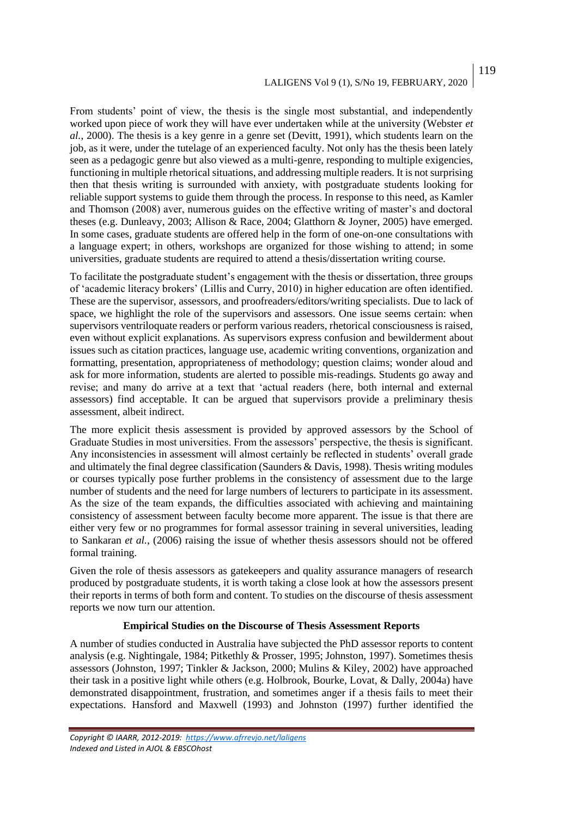# LALIGENS Vol 9 (1), S/No 19, FEBRUARY, 2020

From students' point of view, the thesis is the single most substantial, and independently worked upon piece of work they will have ever undertaken while at the university (Webster *et al.*, 2000). The thesis is a key genre in a genre set (Devitt, 1991), which students learn on the job, as it were, under the tutelage of an experienced faculty. Not only has the thesis been lately seen as a pedagogic genre but also viewed as a multi-genre, responding to multiple exigencies, functioning in multiple rhetorical situations, and addressing multiple readers. It is not surprising then that thesis writing is surrounded with anxiety, with postgraduate students looking for reliable support systems to guide them through the process. In response to this need, as Kamler and Thomson (2008) aver, numerous guides on the effective writing of master's and doctoral theses (e.g. Dunleavy, 2003; Allison & Race, 2004; Glatthorn & Joyner, 2005) have emerged. In some cases, graduate students are offered help in the form of one-on-one consultations with a language expert; in others, workshops are organized for those wishing to attend; in some universities, graduate students are required to attend a thesis/dissertation writing course.

To facilitate the postgraduate student's engagement with the thesis or dissertation, three groups of 'academic literacy brokers' (Lillis and Curry, 2010) in higher education are often identified. These are the supervisor, assessors, and proofreaders/editors/writing specialists. Due to lack of space, we highlight the role of the supervisors and assessors. One issue seems certain: when supervisors ventriloquate readers or perform various readers, rhetorical consciousness is raised, even without explicit explanations. As supervisors express confusion and bewilderment about issues such as citation practices, language use, academic writing conventions, organization and formatting, presentation, appropriateness of methodology; question claims; wonder aloud and ask for more information, students are alerted to possible mis-readings. Students go away and revise; and many do arrive at a text that 'actual readers (here, both internal and external assessors) find acceptable. It can be argued that supervisors provide a preliminary thesis assessment, albeit indirect.

The more explicit thesis assessment is provided by approved assessors by the School of Graduate Studies in most universities. From the assessors' perspective, the thesis is significant. Any inconsistencies in assessment will almost certainly be reflected in students' overall grade and ultimately the final degree classification (Saunders & Davis, 1998). Thesis writing modules or courses typically pose further problems in the consistency of assessment due to the large number of students and the need for large numbers of lecturers to participate in its assessment. As the size of the team expands, the difficulties associated with achieving and maintaining consistency of assessment between faculty become more apparent. The issue is that there are either very few or no programmes for formal assessor training in several universities, leading to Sankaran *et al.*, (2006) raising the issue of whether thesis assessors should not be offered formal training.

Given the role of thesis assessors as gatekeepers and quality assurance managers of research produced by postgraduate students, it is worth taking a close look at how the assessors present their reports in terms of both form and content. To studies on the discourse of thesis assessment reports we now turn our attention.

#### **Empirical Studies on the Discourse of Thesis Assessment Reports**

A number of studies conducted in Australia have subjected the PhD assessor reports to content analysis (e.g. Nightingale, 1984; Pitkethly & Prosser, 1995; Johnston, 1997). Sometimes thesis assessors (Johnston, 1997; Tinkler & Jackson, 2000; Mulins & Kiley, 2002) have approached their task in a positive light while others (e.g. Holbrook, Bourke, Lovat, & Dally, 2004a) have demonstrated disappointment, frustration, and sometimes anger if a thesis fails to meet their expectations. Hansford and Maxwell (1993) and Johnston (1997) further identified the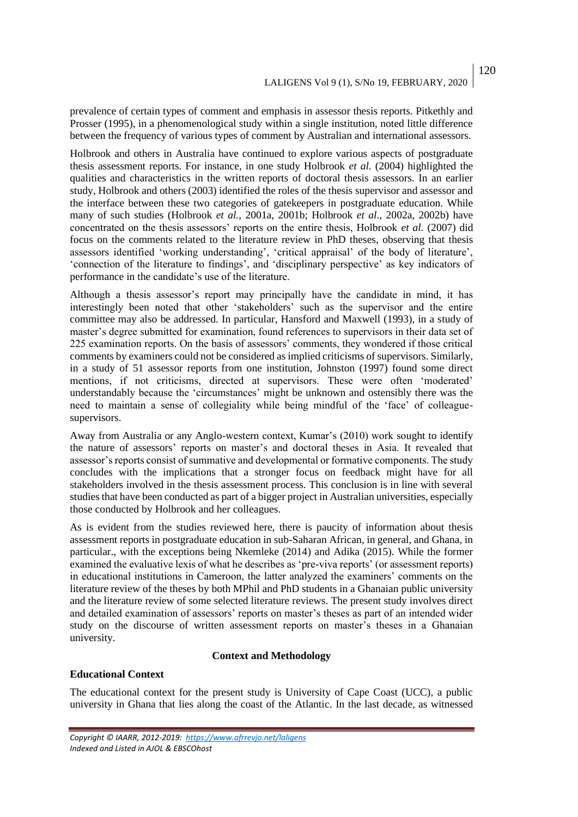prevalence of certain types of comment and emphasis in assessor thesis reports. Pitkethly and Prosser (1995), in a phenomenological study within a single institution, noted little difference between the frequency of various types of comment by Australian and international assessors.

Holbrook and others in Australia have continued to explore various aspects of postgraduate thesis assessment reports. For instance, in one study Holbrook *et al.* (2004) highlighted the qualities and characteristics in the written reports of doctoral thesis assessors. In an earlier study, Holbrook and others (2003) identified the roles of the thesis supervisor and assessor and the interface between these two categories of gatekeepers in postgraduate education. While many of such studies (Holbrook *et al.*, 2001a, 2001b; Holbrook *et al*., 2002a, 2002b) have concentrated on the thesis assessors' reports on the entire thesis, Holbrook *et al.* (2007) did focus on the comments related to the literature review in PhD theses, observing that thesis assessors identified 'working understanding', 'critical appraisal' of the body of literature', 'connection of the literature to findings', and 'disciplinary perspective' as key indicators of performance in the candidate's use of the literature.

Although a thesis assessor's report may principally have the candidate in mind, it has interestingly been noted that other 'stakeholders' such as the supervisor and the entire committee may also be addressed. In particular, Hansford and Maxwell (1993), in a study of master's degree submitted for examination, found references to supervisors in their data set of 225 examination reports. On the basis of assessors' comments, they wondered if those critical comments by examiners could not be considered as implied criticisms of supervisors. Similarly, in a study of 51 assessor reports from one institution, Johnston (1997) found some direct mentions, if not criticisms, directed at supervisors. These were often 'moderated' understandably because the 'circumstances' might be unknown and ostensibly there was the need to maintain a sense of collegiality while being mindful of the 'face' of colleaguesupervisors.

Away from Australia or any Anglo-western context, Kumar's (2010) work sought to identify the nature of assessors' reports on master's and doctoral theses in Asia. It revealed that assessor's reports consist of summative and developmental or formative components. The study concludes with the implications that a stronger focus on feedback might have for all stakeholders involved in the thesis assessment process. This conclusion is in line with several studies that have been conducted as part of a bigger project in Australian universities, especially those conducted by Holbrook and her colleagues.

As is evident from the studies reviewed here, there is paucity of information about thesis assessment reports in postgraduate education in sub-Saharan African, in general, and Ghana, in particular., with the exceptions being Nkemleke (2014) and Adika (2015). While the former examined the evaluative lexis of what he describes as 'pre-viva reports' (or assessment reports) in educational institutions in Cameroon, the latter analyzed the examiners' comments on the literature review of the theses by both MPhil and PhD students in a Ghanaian public university and the literature review of some selected literature reviews. The present study involves direct and detailed examination of assessors' reports on master's theses as part of an intended wider study on the discourse of written assessment reports on master's theses in a Ghanaian university.

#### **Context and Methodology**

#### **Educational Context**

The educational context for the present study is University of Cape Coast (UCC), a public university in Ghana that lies along the coast of the Atlantic. In the last decade, as witnessed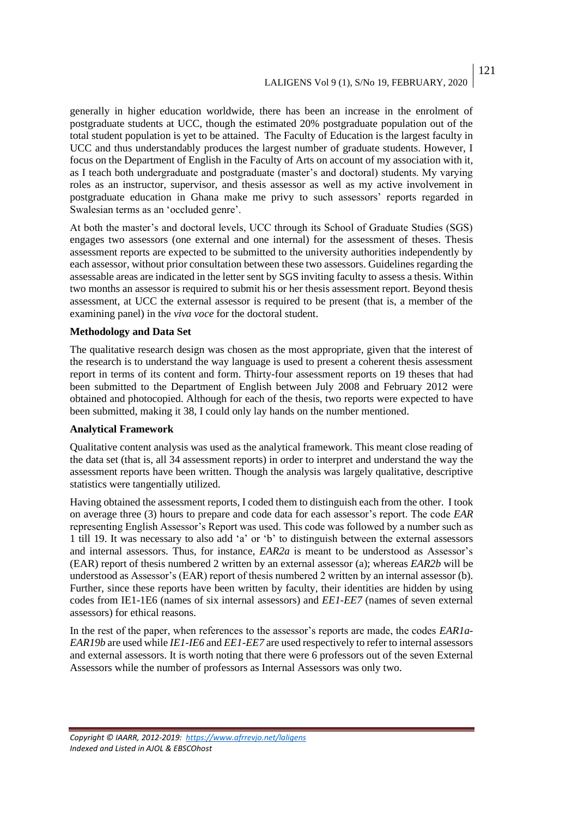# LALIGENS Vol 9 (1), S/No 19, FEBRUARY, 2020

generally in higher education worldwide, there has been an increase in the enrolment of postgraduate students at UCC, though the estimated 20% postgraduate population out of the total student population is yet to be attained. The Faculty of Education is the largest faculty in UCC and thus understandably produces the largest number of graduate students. However, I focus on the Department of English in the Faculty of Arts on account of my association with it, as I teach both undergraduate and postgraduate (master's and doctoral) students. My varying roles as an instructor, supervisor, and thesis assessor as well as my active involvement in postgraduate education in Ghana make me privy to such assessors' reports regarded in Swalesian terms as an 'occluded genre'.

At both the master's and doctoral levels, UCC through its School of Graduate Studies (SGS) engages two assessors (one external and one internal) for the assessment of theses. Thesis assessment reports are expected to be submitted to the university authorities independently by each assessor, without prior consultation between these two assessors. Guidelines regarding the assessable areas are indicated in the letter sent by SGS inviting faculty to assess a thesis. Within two months an assessor is required to submit his or her thesis assessment report. Beyond thesis assessment, at UCC the external assessor is required to be present (that is, a member of the examining panel) in the *viva voce* for the doctoral student.

#### **Methodology and Data Set**

The qualitative research design was chosen as the most appropriate, given that the interest of the research is to understand the way language is used to present a coherent thesis assessment report in terms of its content and form. Thirty-four assessment reports on 19 theses that had been submitted to the Department of English between July 2008 and February 2012 were obtained and photocopied. Although for each of the thesis, two reports were expected to have been submitted, making it 38, I could only lay hands on the number mentioned.

#### **Analytical Framework**

Qualitative content analysis was used as the analytical framework. This meant close reading of the data set (that is, all 34 assessment reports) in order to interpret and understand the way the assessment reports have been written. Though the analysis was largely qualitative, descriptive statistics were tangentially utilized.

Having obtained the assessment reports, I coded them to distinguish each from the other. I took on average three (3) hours to prepare and code data for each assessor's report. The code *EAR* representing English Assessor's Report was used. This code was followed by a number such as 1 till 19. It was necessary to also add 'a' or 'b' to distinguish between the external assessors and internal assessors. Thus, for instance, *EAR2a* is meant to be understood as Assessor's (EAR) report of thesis numbered 2 written by an external assessor (a); whereas *EAR2b* will be understood as Assessor's (EAR) report of thesis numbered 2 written by an internal assessor (b). Further, since these reports have been written by faculty, their identities are hidden by using codes from IE1-1E6 (names of six internal assessors) and *EE1-EE7* (names of seven external assessors) for ethical reasons.

In the rest of the paper, when references to the assessor's reports are made, the codes *EAR1a-EAR19b* are used while *IE1-IE6* and *EE1-EE7* are used respectively to refer to internal assessors and external assessors. It is worth noting that there were 6 professors out of the seven External Assessors while the number of professors as Internal Assessors was only two.

#### *Copyright © IAARR, 2012-2019: <https://www.afrrevjo.net/laligens> Indexed and Listed in AJOL & EBSCOhost*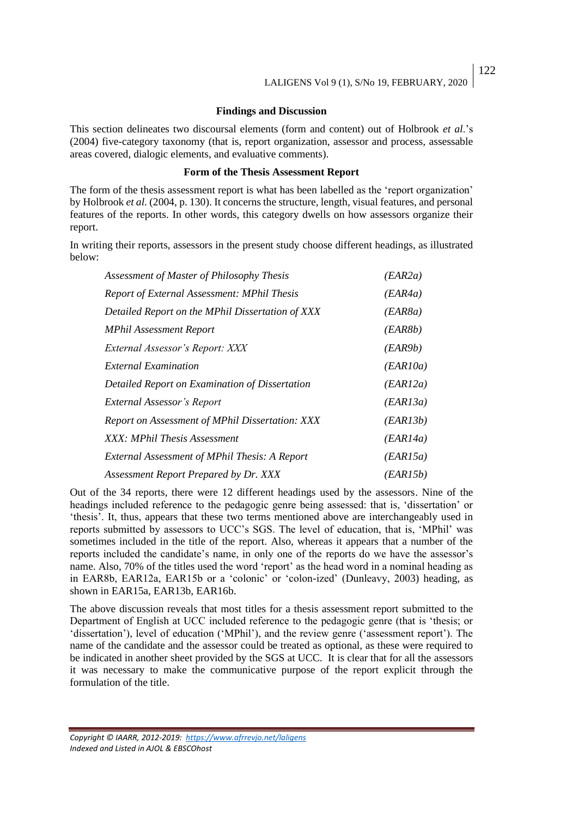#### **Findings and Discussion**

This section delineates two discoursal elements (form and content) out of Holbrook *et al*.'s (2004) five-category taxonomy (that is, report organization, assessor and process, assessable areas covered, dialogic elements, and evaluative comments).

#### **Form of the Thesis Assessment Report**

The form of the thesis assessment report is what has been labelled as the 'report organization' by Holbrook *et al.* (2004, p. 130). It concerns the structure, length, visual features, and personal features of the reports. In other words, this category dwells on how assessors organize their report.

In writing their reports, assessors in the present study choose different headings, as illustrated below:

| Assessment of Master of Philosophy Thesis          | (EAR2a)  |
|----------------------------------------------------|----------|
| <b>Report of External Assessment: MPhil Thesis</b> | (EAR4a)  |
| Detailed Report on the MPhil Dissertation of XXX   | (EAR8a)  |
| <b>MPhil Assessment Report</b>                     | (EAR8b)  |
| External Assessor's Report: XXX                    | (EAR9b)  |
| <i>External Examination</i>                        | (EAR10a) |
| Detailed Report on Examination of Dissertation     | (EAR12a) |
| External Assessor's Report                         | (EAR13a) |
| Report on Assessment of MPhil Dissertation: XXX    | (EAR13b) |
| XXX: MPhil Thesis Assessment                       | (EAR14a) |
| External Assessment of MPhil Thesis: A Report      | (EAR15a) |
| Assessment Report Prepared by Dr. XXX              | (EAR15b) |

Out of the 34 reports, there were 12 different headings used by the assessors. Nine of the headings included reference to the pedagogic genre being assessed: that is, 'dissertation' or 'thesis'. It, thus, appears that these two terms mentioned above are interchangeably used in reports submitted by assessors to UCC's SGS. The level of education, that is, 'MPhil' was sometimes included in the title of the report. Also, whereas it appears that a number of the reports included the candidate's name, in only one of the reports do we have the assessor's name. Also, 70% of the titles used the word 'report' as the head word in a nominal heading as in EAR8b, EAR12a, EAR15b or a 'colonic' or 'colon-ized' (Dunleavy, 2003) heading, as shown in EAR15a, EAR13b, EAR16b.

The above discussion reveals that most titles for a thesis assessment report submitted to the Department of English at UCC included reference to the pedagogic genre (that is 'thesis; or 'dissertation'), level of education ('MPhil'), and the review genre ('assessment report'). The name of the candidate and the assessor could be treated as optional, as these were required to be indicated in another sheet provided by the SGS at UCC. It is clear that for all the assessors it was necessary to make the communicative purpose of the report explicit through the formulation of the title.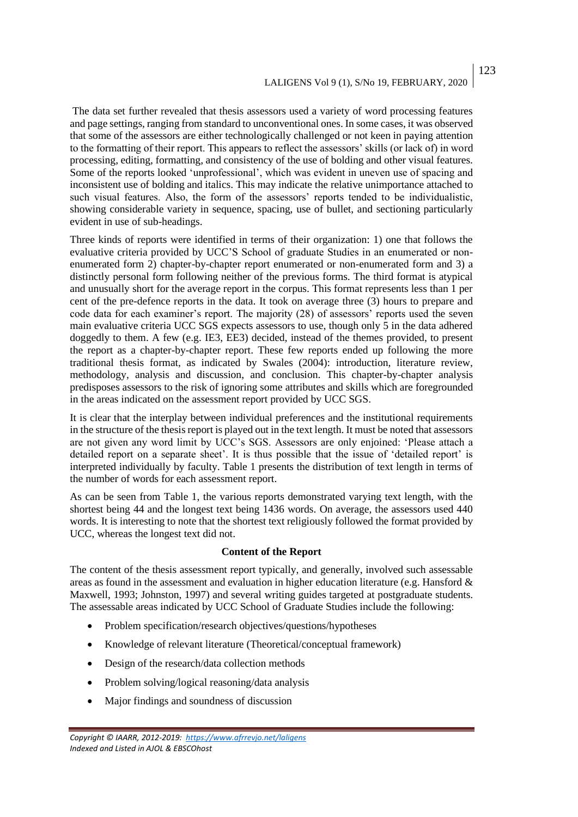# LALIGENS Vol 9 (1), S/No 19, FEBRUARY, 2020

The data set further revealed that thesis assessors used a variety of word processing features and page settings, ranging from standard to unconventional ones. In some cases, it was observed that some of the assessors are either technologically challenged or not keen in paying attention to the formatting of their report. This appears to reflect the assessors' skills (or lack of) in word processing, editing, formatting, and consistency of the use of bolding and other visual features. Some of the reports looked 'unprofessional', which was evident in uneven use of spacing and inconsistent use of bolding and italics. This may indicate the relative unimportance attached to such visual features. Also, the form of the assessors' reports tended to be individualistic, showing considerable variety in sequence, spacing, use of bullet, and sectioning particularly evident in use of sub-headings.

Three kinds of reports were identified in terms of their organization: 1) one that follows the evaluative criteria provided by UCC'S School of graduate Studies in an enumerated or nonenumerated form 2) chapter-by-chapter report enumerated or non-enumerated form and 3) a distinctly personal form following neither of the previous forms. The third format is atypical and unusually short for the average report in the corpus. This format represents less than 1 per cent of the pre-defence reports in the data. It took on average three (3) hours to prepare and code data for each examiner's report. The majority (28) of assessors' reports used the seven main evaluative criteria UCC SGS expects assessors to use, though only 5 in the data adhered doggedly to them. A few (e.g. IE3, EE3) decided, instead of the themes provided, to present the report as a chapter-by-chapter report. These few reports ended up following the more traditional thesis format, as indicated by Swales (2004): introduction, literature review, methodology, analysis and discussion, and conclusion. This chapter-by-chapter analysis predisposes assessors to the risk of ignoring some attributes and skills which are foregrounded in the areas indicated on the assessment report provided by UCC SGS.

It is clear that the interplay between individual preferences and the institutional requirements in the structure of the thesis report is played out in the text length. It must be noted that assessors are not given any word limit by UCC's SGS. Assessors are only enjoined: 'Please attach a detailed report on a separate sheet'. It is thus possible that the issue of 'detailed report' is interpreted individually by faculty. Table 1 presents the distribution of text length in terms of the number of words for each assessment report.

As can be seen from Table 1, the various reports demonstrated varying text length, with the shortest being 44 and the longest text being 1436 words. On average, the assessors used 440 words. It is interesting to note that the shortest text religiously followed the format provided by UCC, whereas the longest text did not.

#### **Content of the Report**

The content of the thesis assessment report typically, and generally, involved such assessable areas as found in the assessment and evaluation in higher education literature (e.g. Hansford  $\&$ Maxwell, 1993; Johnston, 1997) and several writing guides targeted at postgraduate students. The assessable areas indicated by UCC School of Graduate Studies include the following:

- Problem specification/research objectives/questions/hypotheses
- Knowledge of relevant literature (Theoretical/conceptual framework)
- Design of the research/data collection methods
- Problem solving/logical reasoning/data analysis
- Major findings and soundness of discussion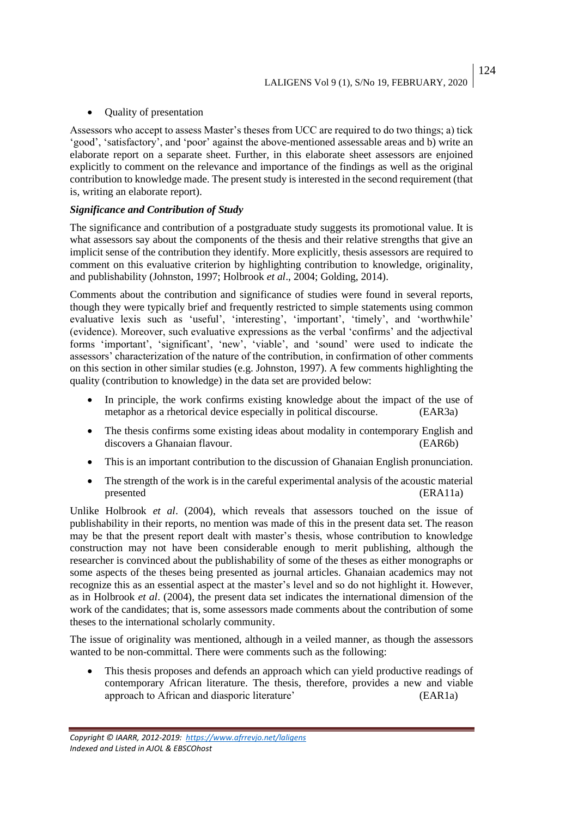### • Quality of presentation

Assessors who accept to assess Master's theses from UCC are required to do two things; a) tick 'good', 'satisfactory', and 'poor' against the above-mentioned assessable areas and b) write an elaborate report on a separate sheet. Further, in this elaborate sheet assessors are enjoined explicitly to comment on the relevance and importance of the findings as well as the original contribution to knowledge made. The present study is interested in the second requirement (that is, writing an elaborate report).

### *Significance and Contribution of Study*

The significance and contribution of a postgraduate study suggests its promotional value. It is what assessors say about the components of the thesis and their relative strengths that give an implicit sense of the contribution they identify. More explicitly, thesis assessors are required to comment on this evaluative criterion by highlighting contribution to knowledge, originality, and publishability (Johnston, 1997; Holbrook *et al*., 2004; Golding, 2014).

Comments about the contribution and significance of studies were found in several reports, though they were typically brief and frequently restricted to simple statements using common evaluative lexis such as 'useful', 'interesting', 'important', 'timely', and 'worthwhile' (evidence). Moreover, such evaluative expressions as the verbal 'confirms' and the adjectival forms 'important', 'significant', 'new', 'viable', and 'sound' were used to indicate the assessors' characterization of the nature of the contribution, in confirmation of other comments on this section in other similar studies (e.g. Johnston, 1997). A few comments highlighting the quality (contribution to knowledge) in the data set are provided below:

- In principle, the work confirms existing knowledge about the impact of the use of metaphor as a rhetorical device especially in political discourse. (EAR3a)
- The thesis confirms some existing ideas about modality in contemporary English and discovers a Ghanaian flavour. (EAR6b)
- This is an important contribution to the discussion of Ghanaian English pronunciation.
- The strength of the work is in the careful experimental analysis of the acoustic material presented (ERA11a)

Unlike Holbrook *et al*. (2004), which reveals that assessors touched on the issue of publishability in their reports, no mention was made of this in the present data set. The reason may be that the present report dealt with master's thesis, whose contribution to knowledge construction may not have been considerable enough to merit publishing, although the researcher is convinced about the publishability of some of the theses as either monographs or some aspects of the theses being presented as journal articles. Ghanaian academics may not recognize this as an essential aspect at the master's level and so do not highlight it. However, as in Holbrook *et al*. (2004), the present data set indicates the international dimension of the work of the candidates; that is, some assessors made comments about the contribution of some theses to the international scholarly community.

The issue of originality was mentioned, although in a veiled manner, as though the assessors wanted to be non-committal. There were comments such as the following:

This thesis proposes and defends an approach which can yield productive readings of contemporary African literature. The thesis, therefore, provides a new and viable approach to African and diasporic literature' (EAR1a)

*Copyright © IAARR, 2012-2019: <https://www.afrrevjo.net/laligens> Indexed and Listed in AJOL & EBSCOhost*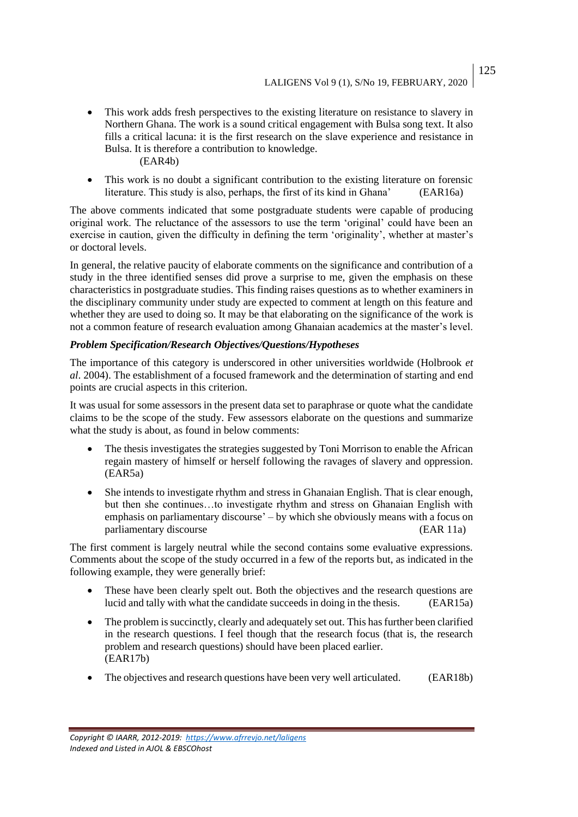- This work adds fresh perspectives to the existing literature on resistance to slavery in Northern Ghana. The work is a sound critical engagement with Bulsa song text. It also fills a critical lacuna: it is the first research on the slave experience and resistance in Bulsa. It is therefore a contribution to knowledge. (EAR4b)
- This work is no doubt a significant contribution to the existing literature on forensic literature. This study is also, perhaps, the first of its kind in Ghana' (EAR16a)

The above comments indicated that some postgraduate students were capable of producing original work. The reluctance of the assessors to use the term 'original' could have been an exercise in caution, given the difficulty in defining the term 'originality', whether at master's or doctoral levels.

In general, the relative paucity of elaborate comments on the significance and contribution of a study in the three identified senses did prove a surprise to me, given the emphasis on these characteristics in postgraduate studies. This finding raises questions as to whether examiners in the disciplinary community under study are expected to comment at length on this feature and whether they are used to doing so. It may be that elaborating on the significance of the work is not a common feature of research evaluation among Ghanaian academics at the master's level.

## *Problem Specification/Research Objectives/Questions/Hypotheses*

The importance of this category is underscored in other universities worldwide (Holbrook *et al*. 2004). The establishment of a focused framework and the determination of starting and end points are crucial aspects in this criterion.

It was usual for some assessors in the present data set to paraphrase or quote what the candidate claims to be the scope of the study. Few assessors elaborate on the questions and summarize what the study is about, as found in below comments:

- The thesis investigates the strategies suggested by Toni Morrison to enable the African regain mastery of himself or herself following the ravages of slavery and oppression. (EAR5a)
- She intends to investigate rhythm and stress in Ghanaian English. That is clear enough, but then she continues…to investigate rhythm and stress on Ghanaian English with emphasis on parliamentary discourse' – by which she obviously means with a focus on parliamentary discourse (EAR 11a)

The first comment is largely neutral while the second contains some evaluative expressions. Comments about the scope of the study occurred in a few of the reports but, as indicated in the following example, they were generally brief:

- These have been clearly spelt out. Both the objectives and the research questions are lucid and tally with what the candidate succeeds in doing in the thesis. (EAR15a)
- The problem is succinctly, clearly and adequately set out. This has further been clarified in the research questions. I feel though that the research focus (that is, the research problem and research questions) should have been placed earlier. (EAR17b)
- The objectives and research questions have been very well articulated. (EAR18b)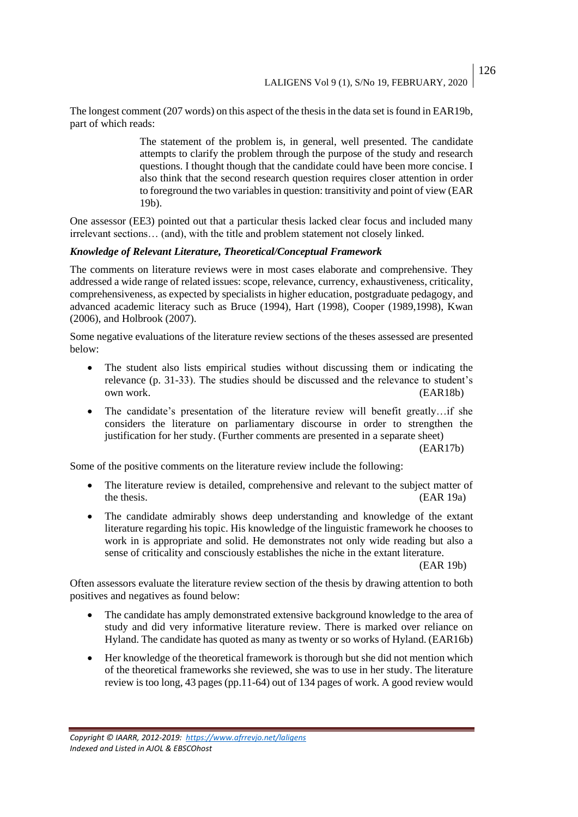The longest comment (207 words) on this aspect of the thesis in the data set is found in EAR19b, part of which reads:

> The statement of the problem is, in general, well presented. The candidate attempts to clarify the problem through the purpose of the study and research questions. I thought though that the candidate could have been more concise. I also think that the second research question requires closer attention in order to foreground the two variables in question: transitivity and point of view (EAR 19b).

One assessor (EE3) pointed out that a particular thesis lacked clear focus and included many irrelevant sections… (and), with the title and problem statement not closely linked.

### *Knowledge of Relevant Literature, Theoretical/Conceptual Framework*

The comments on literature reviews were in most cases elaborate and comprehensive. They addressed a wide range of related issues: scope, relevance, currency, exhaustiveness, criticality, comprehensiveness, as expected by specialists in higher education, postgraduate pedagogy, and advanced academic literacy such as Bruce (1994), Hart (1998), Cooper (1989,1998), Kwan (2006), and Holbrook (2007).

Some negative evaluations of the literature review sections of the theses assessed are presented below:

- The student also lists empirical studies without discussing them or indicating the relevance (p. 31-33). The studies should be discussed and the relevance to student's own work. (EAR18b)
- The candidate's presentation of the literature review will benefit greatly...if she considers the literature on parliamentary discourse in order to strengthen the justification for her study. (Further comments are presented in a separate sheet)

(EAR17b)

Some of the positive comments on the literature review include the following:

- The literature review is detailed, comprehensive and relevant to the subject matter of the thesis. (EAR 19a)
- The candidate admirably shows deep understanding and knowledge of the extant literature regarding his topic. His knowledge of the linguistic framework he chooses to work in is appropriate and solid. He demonstrates not only wide reading but also a sense of criticality and consciously establishes the niche in the extant literature.

(EAR 19b)

Often assessors evaluate the literature review section of the thesis by drawing attention to both positives and negatives as found below:

- The candidate has amply demonstrated extensive background knowledge to the area of study and did very informative literature review. There is marked over reliance on Hyland. The candidate has quoted as many as twenty or so works of Hyland. (EAR16b)
- Her knowledge of the theoretical framework is thorough but she did not mention which of the theoretical frameworks she reviewed, she was to use in her study. The literature review is too long, 43 pages (pp.11-64) out of 134 pages of work. A good review would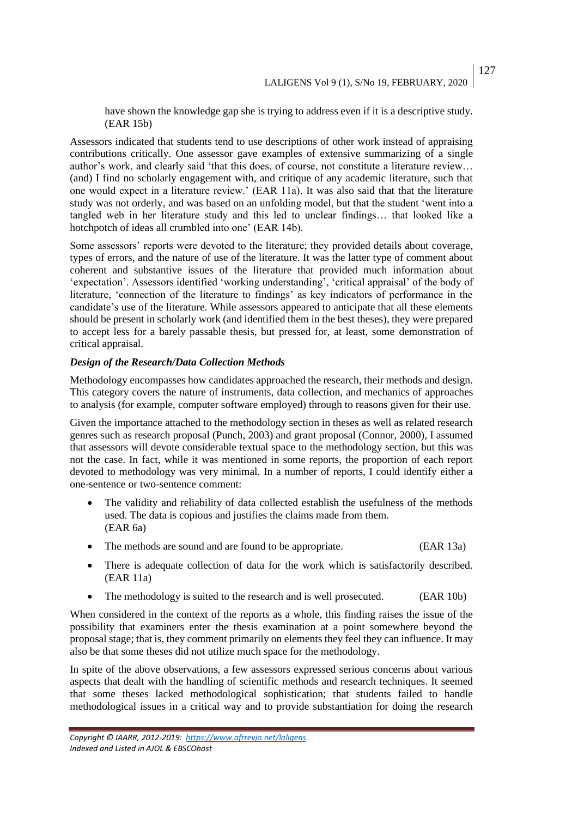have shown the knowledge gap she is trying to address even if it is a descriptive study. (EAR 15b)

Assessors indicated that students tend to use descriptions of other work instead of appraising contributions critically. One assessor gave examples of extensive summarizing of a single author's work, and clearly said 'that this does, of course, not constitute a literature review… (and) I find no scholarly engagement with, and critique of any academic literature, such that one would expect in a literature review.' (EAR 11a). It was also said that that the literature study was not orderly, and was based on an unfolding model, but that the student 'went into a tangled web in her literature study and this led to unclear findings… that looked like a hotchpotch of ideas all crumbled into one' (EAR 14b).

Some assessors' reports were devoted to the literature; they provided details about coverage, types of errors, and the nature of use of the literature. It was the latter type of comment about coherent and substantive issues of the literature that provided much information about 'expectation'. Assessors identified 'working understanding', 'critical appraisal' of the body of literature, 'connection of the literature to findings' as key indicators of performance in the candidate's use of the literature. While assessors appeared to anticipate that all these elements should be present in scholarly work (and identified them in the best theses), they were prepared to accept less for a barely passable thesis, but pressed for, at least, some demonstration of critical appraisal.

### *Design of the Research/Data Collection Methods*

Methodology encompasses how candidates approached the research, their methods and design. This category covers the nature of instruments, data collection, and mechanics of approaches to analysis (for example, computer software employed) through to reasons given for their use.

Given the importance attached to the methodology section in theses as well as related research genres such as research proposal (Punch, 2003) and grant proposal (Connor, 2000), I assumed that assessors will devote considerable textual space to the methodology section, but this was not the case. In fact, while it was mentioned in some reports, the proportion of each report devoted to methodology was very minimal. In a number of reports, I could identify either a one-sentence or two-sentence comment:

- The validity and reliability of data collected establish the usefulness of the methods used. The data is copious and justifies the claims made from them. (EAR 6a)
- The methods are sound and are found to be appropriate. (EAR 13a)
- There is adequate collection of data for the work which is satisfactorily described. (EAR 11a)
- The methodology is suited to the research and is well prosecuted. (EAR 10b)

When considered in the context of the reports as a whole, this finding raises the issue of the possibility that examiners enter the thesis examination at a point somewhere beyond the proposal stage; that is, they comment primarily on elements they feel they can influence. It may also be that some theses did not utilize much space for the methodology.

In spite of the above observations, a few assessors expressed serious concerns about various aspects that dealt with the handling of scientific methods and research techniques. It seemed that some theses lacked methodological sophistication; that students failed to handle methodological issues in a critical way and to provide substantiation for doing the research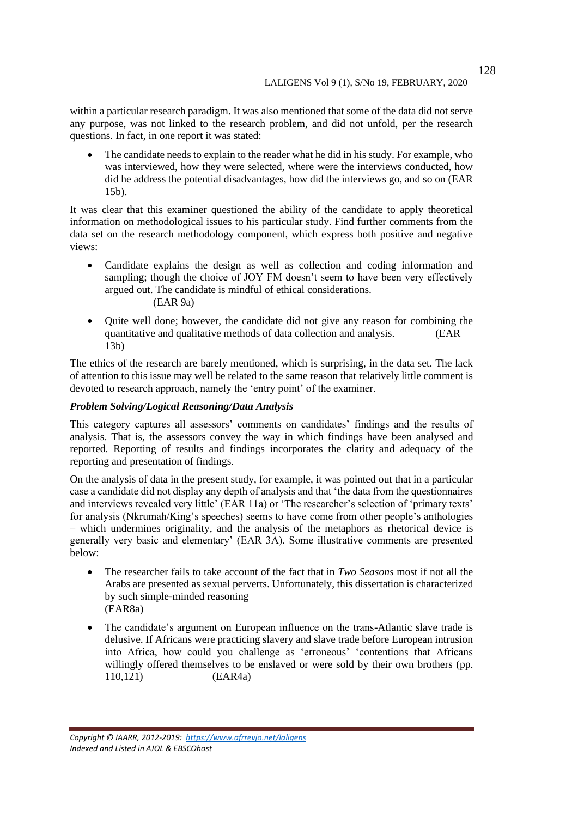within a particular research paradigm. It was also mentioned that some of the data did not serve any purpose, was not linked to the research problem, and did not unfold, per the research questions. In fact, in one report it was stated:

• The candidate needs to explain to the reader what he did in his study. For example, who was interviewed, how they were selected, where were the interviews conducted, how did he address the potential disadvantages, how did the interviews go, and so on (EAR 15b).

It was clear that this examiner questioned the ability of the candidate to apply theoretical information on methodological issues to his particular study. Find further comments from the data set on the research methodology component, which express both positive and negative views:

- Candidate explains the design as well as collection and coding information and sampling; though the choice of JOY FM doesn't seem to have been very effectively argued out. The candidate is mindful of ethical considerations. (EAR 9a)
- Quite well done; however, the candidate did not give any reason for combining the quantitative and qualitative methods of data collection and analysis. (EAR 13b)

The ethics of the research are barely mentioned, which is surprising, in the data set. The lack of attention to this issue may well be related to the same reason that relatively little comment is devoted to research approach, namely the 'entry point' of the examiner.

#### *Problem Solving/Logical Reasoning/Data Analysis*

This category captures all assessors' comments on candidates' findings and the results of analysis. That is, the assessors convey the way in which findings have been analysed and reported. Reporting of results and findings incorporates the clarity and adequacy of the reporting and presentation of findings.

On the analysis of data in the present study, for example, it was pointed out that in a particular case a candidate did not display any depth of analysis and that 'the data from the questionnaires and interviews revealed very little' (EAR 11a) or 'The researcher's selection of 'primary texts' for analysis (Nkrumah/King's speeches) seems to have come from other people's anthologies – which undermines originality, and the analysis of the metaphors as rhetorical device is generally very basic and elementary' (EAR 3A). Some illustrative comments are presented below:

- The researcher fails to take account of the fact that in *Two Seasons* most if not all the Arabs are presented as sexual perverts. Unfortunately, this dissertation is characterized by such simple-minded reasoning (EAR8a)
- The candidate's argument on European influence on the trans-Atlantic slave trade is delusive. If Africans were practicing slavery and slave trade before European intrusion into Africa, how could you challenge as 'erroneous' 'contentions that Africans willingly offered themselves to be enslaved or were sold by their own brothers (pp. 110,121) (EAR4a)

*Copyright © IAARR, 2012-2019: <https://www.afrrevjo.net/laligens> Indexed and Listed in AJOL & EBSCOhost*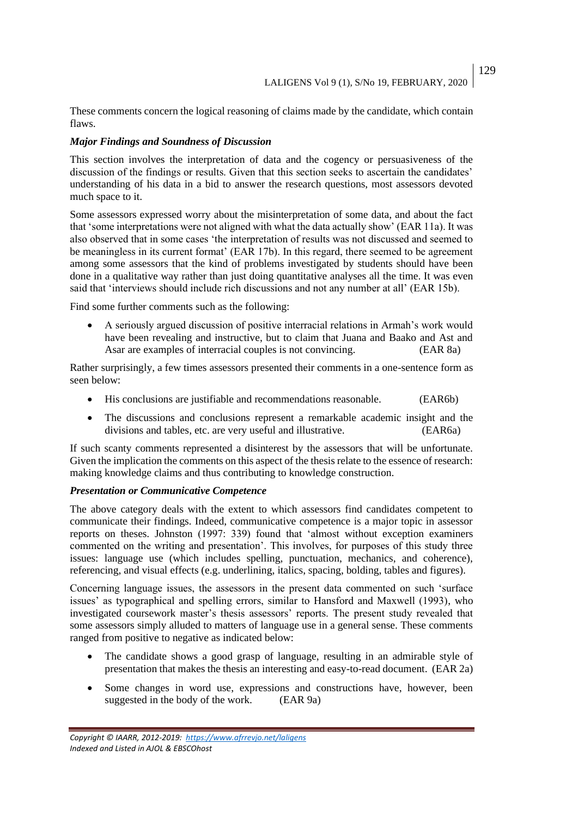These comments concern the logical reasoning of claims made by the candidate, which contain flaws.

# *Major Findings and Soundness of Discussion*

This section involves the interpretation of data and the cogency or persuasiveness of the discussion of the findings or results. Given that this section seeks to ascertain the candidates' understanding of his data in a bid to answer the research questions, most assessors devoted much space to it.

Some assessors expressed worry about the misinterpretation of some data, and about the fact that 'some interpretations were not aligned with what the data actually show' (EAR 11a). It was also observed that in some cases 'the interpretation of results was not discussed and seemed to be meaningless in its current format' (EAR 17b). In this regard, there seemed to be agreement among some assessors that the kind of problems investigated by students should have been done in a qualitative way rather than just doing quantitative analyses all the time. It was even said that 'interviews should include rich discussions and not any number at all' (EAR 15b).

Find some further comments such as the following:

• A seriously argued discussion of positive interracial relations in Armah's work would have been revealing and instructive, but to claim that Juana and Baako and Ast and Asar are examples of interracial couples is not convincing. (EAR 8a)

Rather surprisingly, a few times assessors presented their comments in a one-sentence form as seen below:

- His conclusions are justifiable and recommendations reasonable. (EAR6b)
- The discussions and conclusions represent a remarkable academic insight and the divisions and tables, etc. are very useful and illustrative. (EAR6a)

If such scanty comments represented a disinterest by the assessors that will be unfortunate. Given the implication the comments on this aspect of the thesis relate to the essence of research: making knowledge claims and thus contributing to knowledge construction.

## *Presentation or Communicative Competence*

The above category deals with the extent to which assessors find candidates competent to communicate their findings. Indeed, communicative competence is a major topic in assessor reports on theses. Johnston (1997: 339) found that 'almost without exception examiners commented on the writing and presentation'. This involves, for purposes of this study three issues: language use (which includes spelling, punctuation, mechanics, and coherence), referencing, and visual effects (e.g. underlining, italics, spacing, bolding, tables and figures).

Concerning language issues, the assessors in the present data commented on such 'surface issues' as typographical and spelling errors, similar to Hansford and Maxwell (1993), who investigated coursework master's thesis assessors' reports. The present study revealed that some assessors simply alluded to matters of language use in a general sense. These comments ranged from positive to negative as indicated below:

- The candidate shows a good grasp of language, resulting in an admirable style of presentation that makes the thesis an interesting and easy-to-read document. (EAR 2a)
- Some changes in word use, expressions and constructions have, however, been suggested in the body of the work. (EAR 9a)

*Copyright © IAARR, 2012-2019: <https://www.afrrevjo.net/laligens> Indexed and Listed in AJOL & EBSCOhost*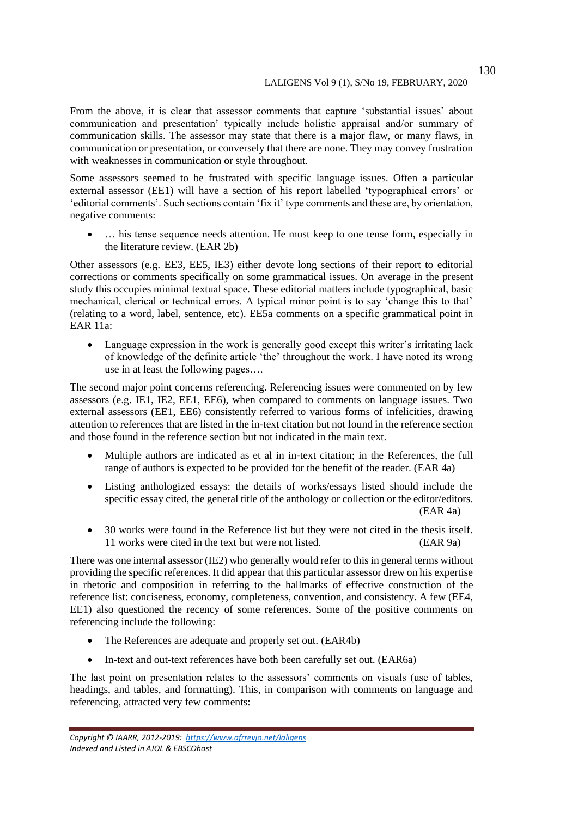From the above, it is clear that assessor comments that capture 'substantial issues' about communication and presentation' typically include holistic appraisal and/or summary of communication skills. The assessor may state that there is a major flaw, or many flaws, in communication or presentation, or conversely that there are none. They may convey frustration with weaknesses in communication or style throughout.

Some assessors seemed to be frustrated with specific language issues. Often a particular external assessor (EE1) will have a section of his report labelled 'typographical errors' or 'editorial comments'. Such sections contain 'fix it' type comments and these are, by orientation, negative comments:

• ... his tense sequence needs attention. He must keep to one tense form, especially in the literature review. (EAR 2b)

Other assessors (e.g. EE3, EE5, IE3) either devote long sections of their report to editorial corrections or comments specifically on some grammatical issues. On average in the present study this occupies minimal textual space. These editorial matters include typographical, basic mechanical, clerical or technical errors. A typical minor point is to say 'change this to that' (relating to a word, label, sentence, etc). EE5a comments on a specific grammatical point in EAR 11a:

• Language expression in the work is generally good except this writer's irritating lack of knowledge of the definite article 'the' throughout the work. I have noted its wrong use in at least the following pages….

The second major point concerns referencing. Referencing issues were commented on by few assessors (e.g. IE1, IE2, EE1, EE6), when compared to comments on language issues. Two external assessors (EE1, EE6) consistently referred to various forms of infelicities, drawing attention to references that are listed in the in-text citation but not found in the reference section and those found in the reference section but not indicated in the main text.

- Multiple authors are indicated as et al in in-text citation; in the References, the full range of authors is expected to be provided for the benefit of the reader. (EAR 4a)
- Listing anthologized essays: the details of works/essays listed should include the specific essay cited, the general title of the anthology or collection or the editor/editors. (EAR 4a)
- 30 works were found in the Reference list but they were not cited in the thesis itself. 11 works were cited in the text but were not listed. (EAR 9a)

There was one internal assessor (IE2) who generally would refer to this in general terms without providing the specific references. It did appear that this particular assessor drew on his expertise in rhetoric and composition in referring to the hallmarks of effective construction of the reference list: conciseness, economy, completeness, convention, and consistency. A few (EE4, EE1) also questioned the recency of some references. Some of the positive comments on referencing include the following:

- The References are adequate and properly set out. (EAR4b)
- In-text and out-text references have both been carefully set out. (EAR6a)

The last point on presentation relates to the assessors' comments on visuals (use of tables, headings, and tables, and formatting). This, in comparison with comments on language and referencing, attracted very few comments: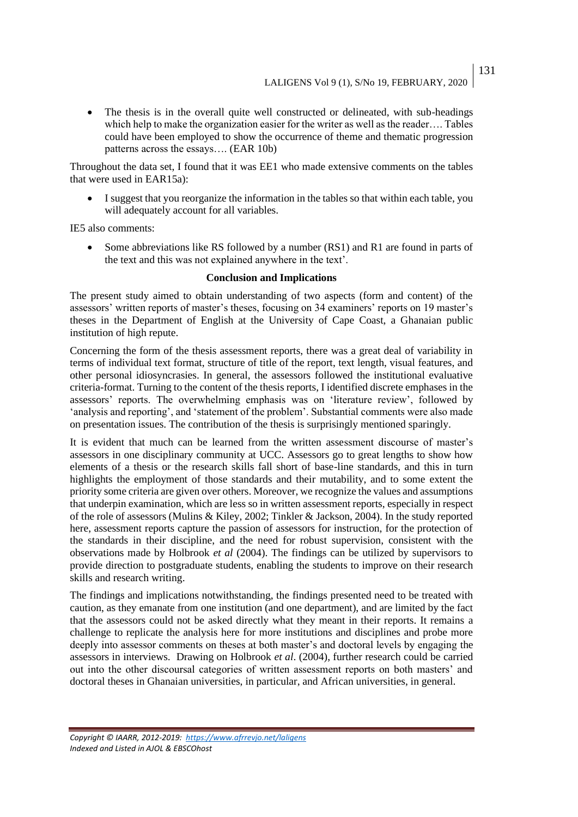• The thesis is in the overall quite well constructed or delineated, with sub-headings which help to make the organization easier for the writer as well as the reader…. Tables could have been employed to show the occurrence of theme and thematic progression patterns across the essays…. (EAR 10b)

Throughout the data set, I found that it was EE1 who made extensive comments on the tables that were used in EAR15a):

• I suggest that you reorganize the information in the tables so that within each table, you will adequately account for all variables.

IE5 also comments:

• Some abbreviations like RS followed by a number (RS1) and R1 are found in parts of the text and this was not explained anywhere in the text'.

#### **Conclusion and Implications**

The present study aimed to obtain understanding of two aspects (form and content) of the assessors' written reports of master's theses, focusing on 34 examiners' reports on 19 master's theses in the Department of English at the University of Cape Coast, a Ghanaian public institution of high repute.

Concerning the form of the thesis assessment reports, there was a great deal of variability in terms of individual text format, structure of title of the report, text length, visual features, and other personal idiosyncrasies. In general, the assessors followed the institutional evaluative criteria-format. Turning to the content of the thesis reports, I identified discrete emphases in the assessors' reports. The overwhelming emphasis was on 'literature review', followed by 'analysis and reporting', and 'statement of the problem'. Substantial comments were also made on presentation issues. The contribution of the thesis is surprisingly mentioned sparingly.

It is evident that much can be learned from the written assessment discourse of master's assessors in one disciplinary community at UCC. Assessors go to great lengths to show how elements of a thesis or the research skills fall short of base-line standards, and this in turn highlights the employment of those standards and their mutability, and to some extent the priority some criteria are given over others. Moreover, we recognize the values and assumptions that underpin examination, which are less so in written assessment reports, especially in respect of the role of assessors (Mulins & Kiley, 2002; Tinkler & Jackson, 2004). In the study reported here, assessment reports capture the passion of assessors for instruction, for the protection of the standards in their discipline, and the need for robust supervision, consistent with the observations made by Holbrook *et al* (2004). The findings can be utilized by supervisors to provide direction to postgraduate students, enabling the students to improve on their research skills and research writing.

The findings and implications notwithstanding, the findings presented need to be treated with caution, as they emanate from one institution (and one department), and are limited by the fact that the assessors could not be asked directly what they meant in their reports. It remains a challenge to replicate the analysis here for more institutions and disciplines and probe more deeply into assessor comments on theses at both master's and doctoral levels by engaging the assessors in interviews. Drawing on Holbrook *et al*. (2004), further research could be carried out into the other discoursal categories of written assessment reports on both masters' and doctoral theses in Ghanaian universities, in particular, and African universities, in general.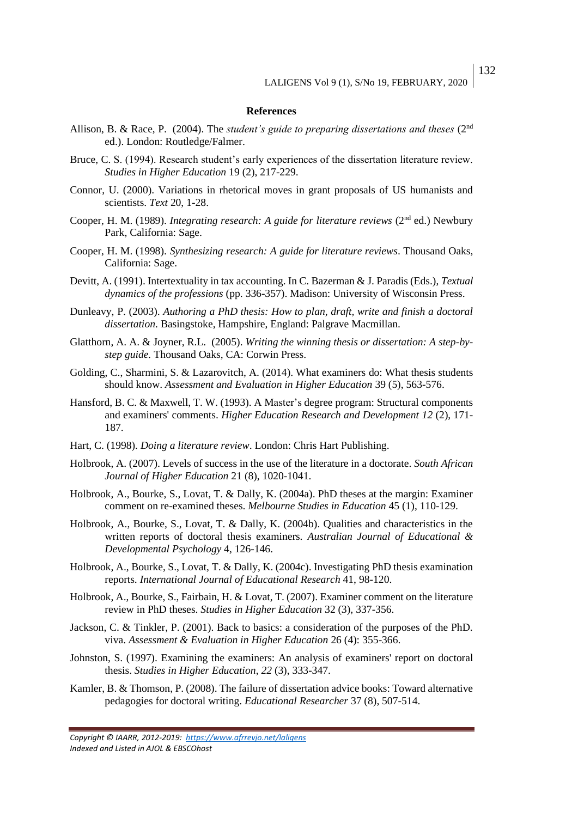#### **References**

- Allison, B. & Race, P. (2004). The *student's guide to preparing dissertations and theses* (2nd ed.). London: Routledge/Falmer.
- Bruce, C. S. (1994). Research student's early experiences of the dissertation literature review. *Studies in Higher Education* 19 (2), 217-229.
- Connor, U. (2000). Variations in rhetorical moves in grant proposals of US humanists and scientists. *Text* 20, 1-28.
- Cooper, H. M. (1989). *Integrating research: A guide for literature reviews* (2<sup>nd</sup> ed.) Newbury Park, California: Sage.
- Cooper, H. M. (1998). *Synthesizing research: A guide for literature reviews*. Thousand Oaks, California: Sage.
- Devitt, A. (1991). Intertextuality in tax accounting. In C. Bazerman & J. Paradis (Eds.), *Textual dynamics of the professions* (pp. 336-357). Madison: University of Wisconsin Press.
- Dunleavy, P. (2003). *Authoring a PhD thesis: How to plan, draft, write and finish a doctoral dissertation*. Basingstoke, Hampshire, England: Palgrave Macmillan.
- Glatthorn, A. A. & Joyner, R.L. (2005). *Writing the winning thesis or dissertation: A step-bystep guide.* Thousand Oaks, CA: Corwin Press.
- Golding, C., Sharmini, S. & Lazarovitch, A. (2014). What examiners do: What thesis students should know. *Assessment and Evaluation in Higher Education* 39 (5), 563-576.
- Hansford, B. C. & Maxwell, T. W. (1993). A Master's degree program: Structural components and examiners' comments. *Higher Education Research and Development 12* (2), 171- 187.
- Hart, C. (1998). *Doing a literature review*. London: Chris Hart Publishing.
- Holbrook, A. (2007). Levels of success in the use of the literature in a doctorate. *South African Journal of Higher Education* 21 (8), 1020-1041.
- Holbrook, A., Bourke, S., Lovat, T. & Dally, K. (2004a). PhD theses at the margin: Examiner comment on re-examined theses. *Melbourne Studies in Education* 45 (1), 110-129.
- Holbrook, A., Bourke, S., Lovat, T. & Dally, K. (2004b). Qualities and characteristics in the written reports of doctoral thesis examiners. *Australian Journal of Educational & Developmental Psychology* 4, 126-146.
- Holbrook, A., Bourke, S., Lovat, T. & Dally, K. (2004c). Investigating PhD thesis examination reports. *International Journal of Educational Research* 41, 98-120.
- Holbrook, A., Bourke, S., Fairbain, H. & Lovat, T. (2007). Examiner comment on the literature review in PhD theses. *Studies in Higher Education* 32 (3), 337-356.
- Jackson, C. & Tinkler, P. (2001). Back to basics: a consideration of the purposes of the PhD. viva. *Assessment & Evaluation in Higher Education* 26 (4): 355-366.
- Johnston, S. (1997). Examining the examiners: An analysis of examiners' report on doctoral thesis. *Studies in Higher Education*, *22* (3), 333-347.
- Kamler, B. & Thomson, P. (2008). The failure of dissertation advice books: Toward alternative pedagogies for doctoral writing. *Educational Researcher* 37 (8), 507-514.

*Copyright © IAARR, 2012-2019: <https://www.afrrevjo.net/laligens> Indexed and Listed in AJOL & EBSCOhost*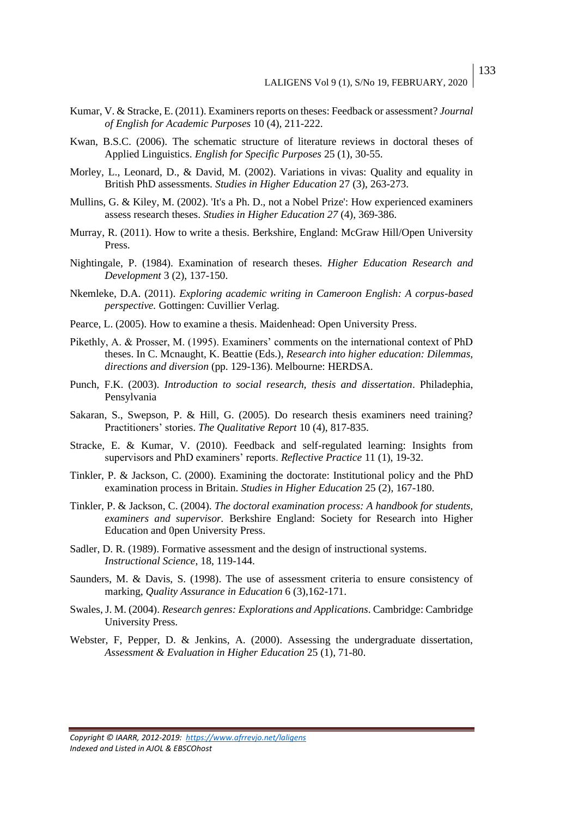- Kumar, V. & Stracke, E. (2011). Examiners reports on theses: Feedback or assessment? *Journal of English for Academic Purposes* 10 (4), 211-222.
- Kwan, B.S.C. (2006). The schematic structure of literature reviews in doctoral theses of Applied Linguistics. *English for Specific Purposes* 25 (1), 30-55.
- Morley, L., Leonard, D., & David, M. (2002). Variations in vivas: Quality and equality in British PhD assessments. *Studies in Higher Education* 27 (3), 263-273.
- Mullins, G. & Kiley, M. (2002). 'It's a Ph. D., not a Nobel Prize': How experienced examiners assess research theses. *Studies in Higher Education 27* (4), 369-386.
- Murray, R. (2011). How to write a thesis. Berkshire, England: McGraw Hill/Open University Press.
- Nightingale, P. (1984). Examination of research theses. *Higher Education Research and Development* 3 (2), 137-150.
- Nkemleke, D.A. (2011). *Exploring academic writing in Cameroon English: A corpus-based perspective.* Gottingen: Cuvillier Verlag.
- Pearce, L. (2005). How to examine a thesis. Maidenhead: Open University Press.
- Pikethly, A. & Prosser, M. (1995). Examiners' comments on the international context of PhD theses. In C. Mcnaught, K. Beattie (Eds.), *Research into higher education: Dilemmas, directions and diversion* (pp. 129-136). Melbourne: HERDSA.
- Punch, F.K. (2003). *Introduction to social research, thesis and dissertation*. Philadephia, Pensylvania
- Sakaran, S., Swepson, P. & Hill, G. (2005). Do research thesis examiners need training? Practitioners' stories. *The Qualitative Report* 10 (4), 817-835.
- Stracke, E. & Kumar, V. (2010). Feedback and self-regulated learning: Insights from supervisors and PhD examiners' reports. *Reflective Practice* 11 (1), 19-32.
- Tinkler, P. & Jackson, C. (2000). Examining the doctorate: Institutional policy and the PhD examination process in Britain. *Studies in Higher Education* 25 (2), 167-180.
- Tinkler, P. & Jackson, C. (2004). *The doctoral examination process: A handbook for students, examiners and supervisor.* Berkshire England: Society for Research into Higher Education and 0pen University Press.
- Sadler, D. R. (1989). Formative assessment and the design of instructional systems. *Instructional Science*, 18, 119-144.
- Saunders, M. & Davis, S. (1998). The use of assessment criteria to ensure consistency of marking, *Quality Assurance in Education* 6 (3),162-171.
- Swales, J. M. (2004). *Research genres: Explorations and Applications*. Cambridge: Cambridge University Press.
- Webster, F, Pepper, D. & Jenkins, A. (2000). Assessing the undergraduate dissertation, *Assessment & Evaluation in Higher Education* 25 (1), 71-80.